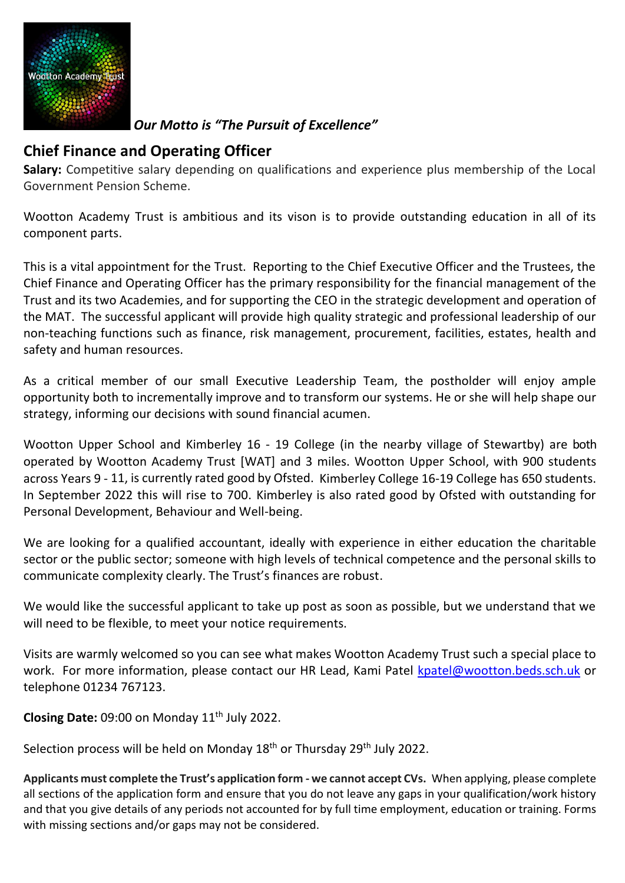

*Our Motto is "The Pursuit of Excellence"*

## **Chief Finance and Operating Officer**

**Salary:** Competitive salary depending on qualifications and experience plus membership of the Local Government Pension Scheme.

Wootton Academy Trust is ambitious and its vison is to provide outstanding education in all of its component parts.

This is a vital appointment for the Trust. Reporting to the Chief Executive Officer and the Trustees, the Chief Finance and Operating Officer has the primary responsibility for the financial management of the Trust and its two Academies, and for supporting the CEO in the strategic development and operation of the MAT. The successful applicant will provide high quality strategic and professional leadership of our non-teaching functions such as finance, risk management, procurement, facilities, estates, health and safety and human resources.

As a critical member of our small Executive Leadership Team, the postholder will enjoy ample opportunity both to incrementally improve and to transform our systems. He or she will help shape our strategy, informing our decisions with sound financial acumen.

Wootton Upper School and Kimberley 16 - 19 College (in the nearby village of Stewartby) are both operated by Wootton Academy Trust [WAT] and 3 miles. Wootton Upper School, with 900 students across Years 9 - 11, is currently rated good by Ofsted. Kimberley College 16-19 College has 650 students. In September 2022 this will rise to 700. Kimberley is also rated good by Ofsted with outstanding for Personal Development, Behaviour and Well-being.

We are looking for a qualified accountant, ideally with experience in either education the charitable sector or the public sector; someone with high levels of technical competence and the personal skills to communicate complexity clearly. The Trust's finances are robust.

We would like the successful applicant to take up post as soon as possible, but we understand that we will need to be flexible, to meet your notice requirements.

Visits are warmly welcomed so you can see what makes Wootton Academy Trust such a special place to work. For more information, please contact our HR Lead, Kami Patel [kpatel@wootton.beds.sch.uk](mailto:kpatel@wootton.beds.sch.uk) or telephone 01234 767123.

**Closing Date:** 09:00 on Monday 11<sup>th</sup> July 2022.

Selection process will be held on Monday 18<sup>th</sup> or Thursday 29<sup>th</sup> July 2022.

**Applicants must complete the Trust's application form - we cannot accept CVs.** When applying, please complete all sections of the application form and ensure that you do not leave any gaps in your qualification/work history and that you give details of any periods not accounted for by full time employment, education or training. Forms with missing sections and/or gaps may not be considered.